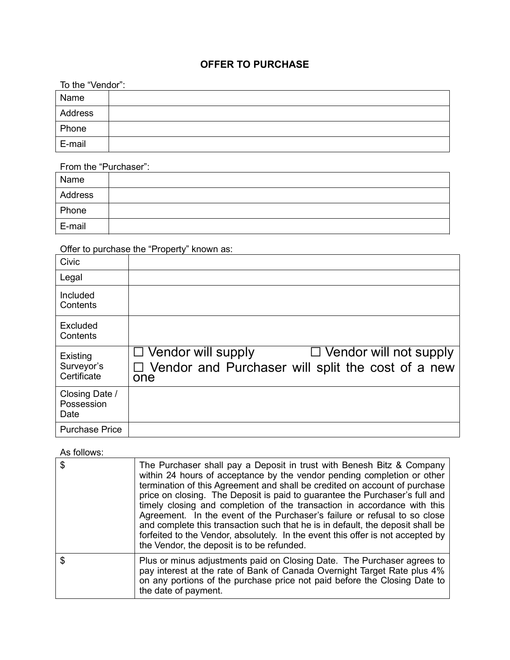## OFFER TO PURCHASE

| To the "Vendor": |  |
|------------------|--|
| Name             |  |
| Address          |  |
| Phone            |  |
| E-mail           |  |

From the "Purchaser":

| Name    |  |
|---------|--|
| Address |  |
| Phone   |  |
| E-mail  |  |

Offer to purchase the "Property" known as:

| Civic                                 |                                                                                                                          |
|---------------------------------------|--------------------------------------------------------------------------------------------------------------------------|
| Legal                                 |                                                                                                                          |
| Included<br>Contents                  |                                                                                                                          |
| Excluded<br>Contents                  |                                                                                                                          |
| Existing<br>Surveyor's<br>Certificate | $\Box$ Vendor will supply<br>$\Box$ Vendor will not supply<br>□ Vendor and Purchaser will split the cost of a new<br>one |
| Closing Date /<br>Possession<br>Date  |                                                                                                                          |
| <b>Purchase Price</b>                 |                                                                                                                          |

## As follows:

| \$<br>The Purchaser shall pay a Deposit in trust with Benesh Bitz & Company<br>within 24 hours of acceptance by the vendor pending completion or other<br>termination of this Agreement and shall be credited on account of purchase<br>price on closing. The Deposit is paid to guarantee the Purchaser's full and<br>timely closing and completion of the transaction in accordance with this<br>Agreement. In the event of the Purchaser's failure or refusal to so close<br>and complete this transaction such that he is in default, the deposit shall be<br>forfeited to the Vendor, absolutely. In the event this offer is not accepted by<br>the Vendor, the deposit is to be refunded. |
|-------------------------------------------------------------------------------------------------------------------------------------------------------------------------------------------------------------------------------------------------------------------------------------------------------------------------------------------------------------------------------------------------------------------------------------------------------------------------------------------------------------------------------------------------------------------------------------------------------------------------------------------------------------------------------------------------|
| \$<br>Plus or minus adjustments paid on Closing Date. The Purchaser agrees to<br>pay interest at the rate of Bank of Canada Overnight Target Rate plus 4%<br>on any portions of the purchase price not paid before the Closing Date to<br>the date of payment.                                                                                                                                                                                                                                                                                                                                                                                                                                  |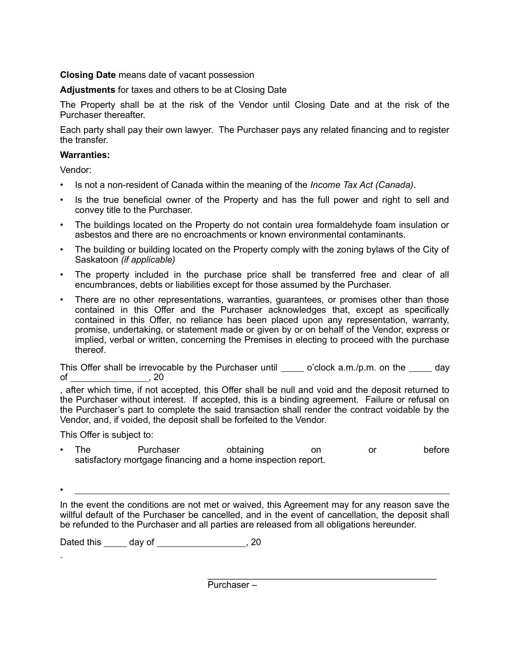## Closing Date means date of vacant possession

Adjustments for taxes and others to be at Closing Date

The Property shall be at the risk of the Vendor until Closing Date and at the risk of the Purchaser thereafter.

Each party shall pay their own lawyer. The Purchaser pays any related financing and to register the transfer.

## Warranties:

Vendor:

- Is not a non-resident of Canada within the meaning of the *Income Tax Act (Canada)*.
- Is the true beneficial owner of the Property and has the full power and right to sell and convey title to the Purchaser.
- The buildings located on the Property do not contain urea formaldehyde foam insulation or asbestos and there are no encroachments or known environmental contaminants.
- The building or building located on the Property comply with the zoning bylaws of the City of Saskatoon (if applicable)
- The property included in the purchase price shall be transferred free and clear of all encumbrances, debts or liabilities except for those assumed by the Purchaser.
- There are no other representations, warranties, guarantees, or promises other than those contained in this Offer and the Purchaser acknowledges that, except as specifically contained in this Offer, no reliance has been placed upon any representation, warranty, promise, undertaking, or statement made or given by or on behalf of the Vendor, express or implied, verbal or written, concerning the Premises in electing to proceed with the purchase thereof.

This Offer shall be irrevocable by the Purchaser until  $\_\_\_$  o'clock a.m./p.m. on the dav of , 20

, after which time, if not accepted, this Offer shall be null and void and the deposit returned to the Purchaser without interest. If accepted, this is a binding agreement. Failure or refusal on the Purchaser's part to complete the said transaction shall render the contract voidable by the Vendor, and, if voided, the deposit shall be forfeited to the Vendor.

This Offer is subject to:

• \_

.

The Purchaser obtaining on or before satisfactory mortgage financing and a home inspection report.

In the event the conditions are not met or waived, this Agreement may for any reason save the willful default of the Purchaser be cancelled, and in the event of cancellation, the deposit shall be refunded to the Purchaser and all parties are released from all obligations hereunder.

 $\_$ 

Dated this day of the state of the state of the state of the state of the state of the state of the state of the state of the state of the state of the state of the state of the state of the state of the state of the state

Purchaser –